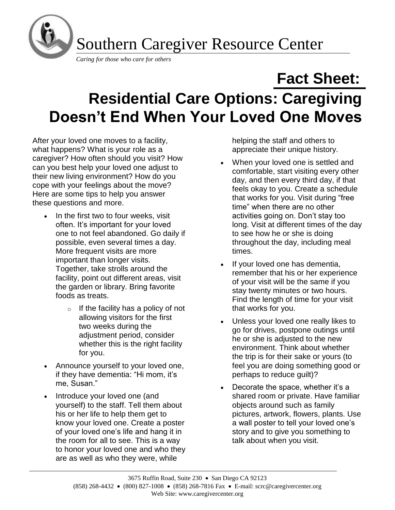

## **Fact Sheet: Residential Care Options: Caregiving Doesn't End When Your Loved One Moves**

After your loved one moves to a facility, what happens? What is your role as a caregiver? How often should you visit? How can you best help your loved one adjust to their new living environment? How do you cope with your feelings about the move? Here are some tips to help you answer these questions and more.

- In the first two to four weeks, visit often. It's important for your loved one to not feel abandoned. Go daily if possible, even several times a day. More frequent visits are more important than longer visits. Together, take strolls around the facility, point out different areas, visit the garden or library. Bring favorite foods as treats.
	- $\circ$  If the facility has a policy of not allowing visitors for the first two weeks during the adjustment period, consider whether this is the right facility for you.
- Announce yourself to your loved one, if they have dementia: "Hi mom, it's me, Susan."
- Introduce your loved one (and yourself) to the staff. Tell them about his or her life to help them get to know your loved one. Create a poster of your loved one's life and hang it in the room for all to see. This is a way to honor your loved one and who they are as well as who they were, while

helping the staff and others to appreciate their unique history.

- When your loved one is settled and comfortable, start visiting every other day, and then every third day, if that feels okay to you. Create a schedule that works for you. Visit during "free time" when there are no other activities going on. Don't stay too long. Visit at different times of the day to see how he or she is doing throughout the day, including meal times.
- If your loved one has dementia, remember that his or her experience of your visit will be the same if you stay twenty minutes or two hours. Find the length of time for your visit that works for you.
- Unless your loved one really likes to go for drives, postpone outings until he or she is adjusted to the new environment. Think about whether the trip is for their sake or yours (to feel you are doing something good or perhaps to reduce guilt)?
- Decorate the space, whether it's a shared room or private. Have familiar objects around such as family pictures, artwork, flowers, plants. Use a wall poster to tell your loved one's story and to give you something to talk about when you visit.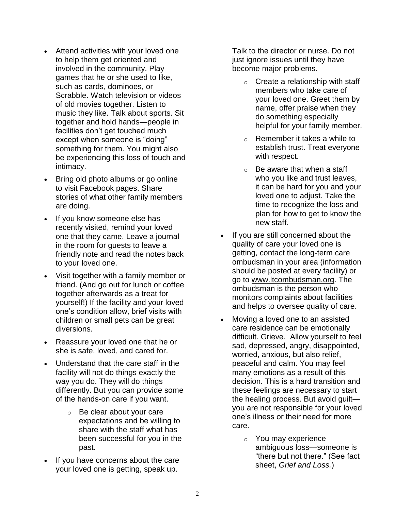- Attend activities with your loved one to help them get oriented and involved in the community. Play games that he or she used to like, such as cards, dominoes, or Scrabble. Watch television or videos of old movies together. Listen to music they like. Talk about sports. Sit together and hold hands—people in facilities don't get touched much except when someone is "doing" something for them. You might also be experiencing this loss of touch and intimacy.
- Bring old photo albums or go online to visit Facebook pages. Share stories of what other family members are doing.
- If you know someone else has recently visited, remind your loved one that they came. Leave a journal in the room for guests to leave a friendly note and read the notes back to your loved one.
- Visit together with a family member or friend. (And go out for lunch or coffee together afterwards as a treat for yourself!) If the facility and your loved one's condition allow, brief visits with children or small pets can be great diversions.
- Reassure your loved one that he or she is safe, loved, and cared for.
- Understand that the care staff in the facility will not do things exactly the way you do. They will do things differently. But you can provide some of the hands-on care if you want.
	- o Be clear about your care expectations and be willing to share with the staff what has been successful for you in the past.
- If you have concerns about the care your loved one is getting, speak up.

Talk to the director or nurse. Do not just ignore issues until they have become major problems.

- $\circ$  Create a relationship with staff members who take care of your loved one. Greet them by name, offer praise when they do something especially helpful for your family member.
- o Remember it takes a while to establish trust. Treat everyone with respect.
- $\circ$  Be aware that when a staff who you like and trust leaves, it can be hard for you and your loved one to adjust. Take the time to recognize the loss and plan for how to get to know the new staff.
- If you are still concerned about the quality of care your loved one is getting, contact the long-term care ombudsman in your area (information should be posted at every facility) or go to [www.ltcombudsman.org.](http://www.ltcombudsman.org/) The ombudsman is the person who monitors complaints about facilities and helps to oversee quality of care.
- Moving a loved one to an assisted care residence can be emotionally difficult. Grieve. Allow yourself to feel sad, depressed, angry, disappointed, worried, anxious, but also relief, peaceful and calm. You may feel many emotions as a result of this decision. This is a hard transition and these feelings are necessary to start the healing process. But avoid guilt you are not responsible for your loved one's illness or their need for more care.
	- o You may experience ambiguous loss—someone is "there but not there." (See fact sheet, *Grief and Loss.*)